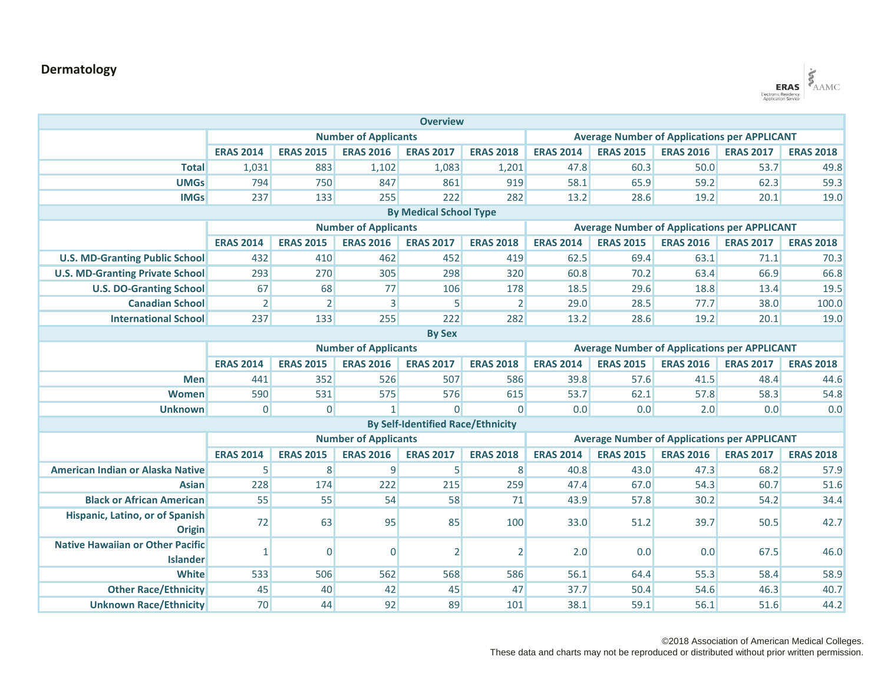## **Dermatology**



| <b>Overview</b>                         |                             |                  |                  |                                          |                                                     |                                                     |                  |                  |                  |                  |  |
|-----------------------------------------|-----------------------------|------------------|------------------|------------------------------------------|-----------------------------------------------------|-----------------------------------------------------|------------------|------------------|------------------|------------------|--|
|                                         | <b>Number of Applicants</b> |                  |                  |                                          |                                                     | <b>Average Number of Applications per APPLICANT</b> |                  |                  |                  |                  |  |
|                                         | <b>ERAS 2014</b>            | <b>ERAS 2015</b> | <b>ERAS 2016</b> | <b>ERAS 2017</b>                         | <b>ERAS 2018</b>                                    | <b>ERAS 2014</b>                                    | <b>ERAS 2015</b> | <b>ERAS 2016</b> | <b>ERAS 2017</b> | <b>ERAS 2018</b> |  |
| <b>Total</b>                            | 1,031                       | 883              | 1,102            | 1,083                                    | 1,201                                               | 47.8                                                | 60.3             | 50.0             | 53.7             | 49.8             |  |
| <b>UMGs</b>                             | 794                         | 750              | 847              | 861                                      | 919                                                 | 58.1                                                | 65.9             | 59.2             | 62.3             | 59.3             |  |
| <b>IMGs</b>                             | 237                         | 133              | 255              | 222                                      | 282                                                 | 13.2                                                | 28.6             | 19.2             | 20.1             | 19.0             |  |
| <b>By Medical School Type</b>           |                             |                  |                  |                                          |                                                     |                                                     |                  |                  |                  |                  |  |
|                                         | <b>Number of Applicants</b> |                  |                  |                                          |                                                     | <b>Average Number of Applications per APPLICANT</b> |                  |                  |                  |                  |  |
|                                         | <b>ERAS 2014</b>            | <b>ERAS 2015</b> | <b>ERAS 2016</b> | <b>ERAS 2017</b>                         | <b>ERAS 2018</b>                                    | <b>ERAS 2014</b>                                    | <b>ERAS 2015</b> | <b>ERAS 2016</b> | <b>ERAS 2017</b> | <b>ERAS 2018</b> |  |
| <b>U.S. MD-Granting Public School</b>   | 432                         | 410              | 462              | 452                                      | 419                                                 | 62.5                                                | 69.4             | 63.1             | 71.1             | 70.3             |  |
| <b>U.S. MD-Granting Private School</b>  | 293                         | 270              | 305              | 298                                      | 320                                                 | 60.8                                                | 70.2             | 63.4             | 66.9             | 66.8             |  |
| <b>U.S. DO-Granting School</b>          | 67                          | 68               | 77               | 106                                      | 178                                                 | 18.5                                                | 29.6             | 18.8             | 13.4             | 19.5             |  |
| <b>Canadian School</b>                  | $\overline{2}$              | $\overline{2}$   | 3                | 5                                        | $\overline{2}$                                      | 29.0                                                | 28.5             | 77.7             | 38.0             | 100.0            |  |
| <b>International School</b>             | 237                         | 133              | 255              | 222                                      | 282                                                 | 13.2                                                | 28.6             | 19.2             | 20.1             | 19.0             |  |
| <b>By Sex</b>                           |                             |                  |                  |                                          |                                                     |                                                     |                  |                  |                  |                  |  |
|                                         | <b>Number of Applicants</b> |                  |                  |                                          | <b>Average Number of Applications per APPLICANT</b> |                                                     |                  |                  |                  |                  |  |
|                                         | <b>ERAS 2014</b>            | <b>ERAS 2015</b> | <b>ERAS 2016</b> | <b>ERAS 2017</b>                         | <b>ERAS 2018</b>                                    | <b>ERAS 2014</b>                                    | <b>ERAS 2015</b> | <b>ERAS 2016</b> | <b>ERAS 2017</b> | <b>ERAS 2018</b> |  |
| <b>Men</b>                              | 441                         | 352              | 526              | 507                                      | 586                                                 | 39.8                                                | 57.6             | 41.5             | 48.4             | 44.6             |  |
| Women                                   | 590                         | 531              | 575              | 576                                      | 615                                                 | 53.7                                                | 62.1             | 57.8             | 58.3             | 54.8             |  |
| <b>Unknown</b>                          | $\overline{0}$              | $\overline{0}$   | $\mathbf{1}$     | $\Omega$                                 | $\Omega$                                            | 0.0                                                 | 0.0              | 2.0              | 0.0              | 0.0              |  |
|                                         |                             |                  |                  | <b>By Self-Identified Race/Ethnicity</b> |                                                     |                                                     |                  |                  |                  |                  |  |
|                                         | <b>Number of Applicants</b> |                  |                  |                                          | <b>Average Number of Applications per APPLICANT</b> |                                                     |                  |                  |                  |                  |  |
|                                         | <b>ERAS 2014</b>            | <b>ERAS 2015</b> | <b>ERAS 2016</b> | <b>ERAS 2017</b>                         | <b>ERAS 2018</b>                                    | <b>ERAS 2014</b>                                    | <b>ERAS 2015</b> | <b>ERAS 2016</b> | <b>ERAS 2017</b> | <b>ERAS 2018</b> |  |
| <b>American Indian or Alaska Native</b> | 5                           | 8                | 9                | 5                                        | 8                                                   | 40.8                                                | 43.0             | 47.3             | 68.2             | 57.9             |  |
| <b>Asian</b>                            | 228                         | 174              | 222              | 215                                      | 259                                                 | 47.4                                                | 67.0             | 54.3             | 60.7             | 51.6             |  |
| <b>Black or African American</b>        | 55                          | 55               | 54               | 58                                       | 71                                                  | 43.9                                                | 57.8             | 30.2             | 54.2             | 34.4             |  |
| Hispanic, Latino, or of Spanish         | 72                          | 63               | 95               | 85                                       | 100                                                 | 33.0                                                | 51.2             | 39.7             | 50.5             | 42.7             |  |
| <b>Origin</b>                           |                             |                  |                  |                                          |                                                     |                                                     |                  |                  |                  |                  |  |
| <b>Native Hawaiian or Other Pacific</b> | $\mathbf{1}$                | $\overline{0}$   | $\Omega$         | 2                                        | $\overline{2}$                                      | 2.0                                                 | 0.0              | 0.0              | 67.5             | 46.0             |  |
| <b>Islander</b>                         |                             |                  |                  |                                          |                                                     |                                                     |                  |                  |                  |                  |  |
| <b>White</b>                            | 533                         | 506              | 562              | 568                                      | 586                                                 | 56.1                                                | 64.4             | 55.3             | 58.4             | 58.9             |  |
| <b>Other Race/Ethnicity</b>             | 45                          | 40               | 42               | 45                                       | 47                                                  | 37.7                                                | 50.4             | 54.6             | 46.3             | 40.7             |  |
| <b>Unknown Race/Ethnicity</b>           | 70                          | 44               | 92               | 89                                       | 101                                                 | 38.1                                                | 59.1             | 56.1             | 51.6             | 44.2             |  |

©2018 Association of American Medical Colleges.

These data and charts may not be reproduced or distributed without prior written permission.